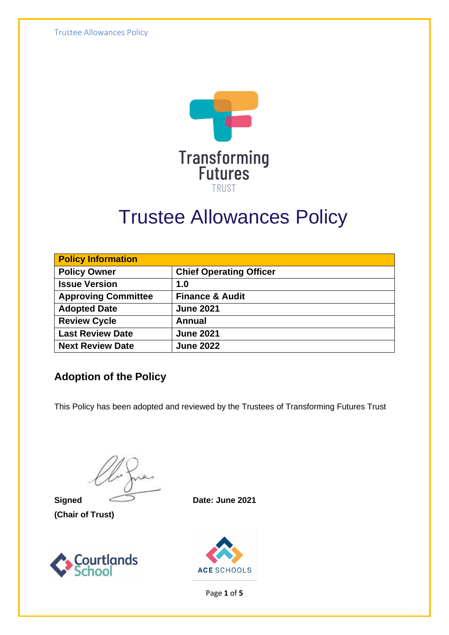Trustee Allowances Policy



# Trustee Allowances Policy

| <b>Policy Information</b>  |                                |  |
|----------------------------|--------------------------------|--|
| <b>Policy Owner</b>        | <b>Chief Operating Officer</b> |  |
| <b>Issue Version</b>       | 1.0                            |  |
| <b>Approving Committee</b> | <b>Finance &amp; Audit</b>     |  |
| <b>Adopted Date</b>        | <b>June 2021</b>               |  |
| <b>Review Cycle</b>        | <b>Annual</b>                  |  |
| <b>Last Review Date</b>    | <b>June 2021</b>               |  |
| <b>Next Review Date</b>    | <b>June 2022</b>               |  |

#### **Adoption of the Policy**

This Policy has been adopted and reviewed by the Trustees of Transforming Futures Trust

**(Chair of Trust)**



**Signed Date: June 2021**



Page **1** of **5**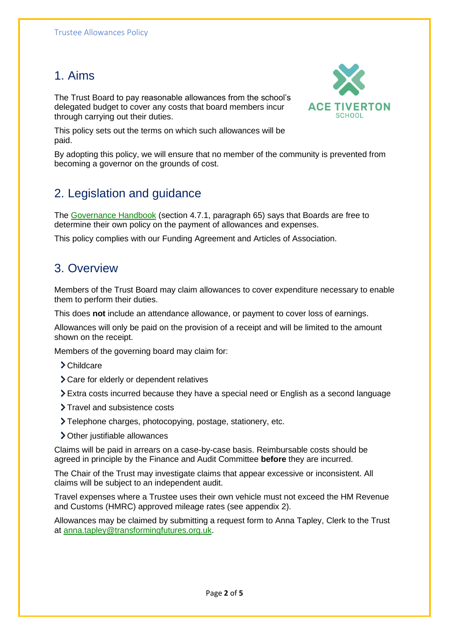#### 1. Aims

The Trust Board to pay reasonable allowances from the school's delegated budget to cover any costs that board members incur through carrying out their duties.



This policy sets out the terms on which such allowances will be paid.

By adopting this policy, we will ensure that no member of the community is prevented from becoming a governor on the grounds of cost.

#### 2. Legislation and guidance

The [Governance Handbook](https://www.gov.uk/government/uploads/system/uploads/attachment_data/file/582868/Governance_Handbook_-_January_2017.pdf) (section 4.7.1, paragraph 65) says that Boards are free to determine their own policy on the payment of allowances and expenses.

This policy complies with our Funding Agreement and Articles of Association.

#### 3. Overview

Members of the Trust Board may claim allowances to cover expenditure necessary to enable them to perform their duties.

This does **not** include an attendance allowance, or payment to cover loss of earnings.

Allowances will only be paid on the provision of a receipt and will be limited to the amount shown on the receipt.

Members of the governing board may claim for:

- > Childcare
- Care for elderly or dependent relatives
- Extra costs incurred because they have a special need or English as a second language
- > Travel and subsistence costs
- Telephone charges, photocopying, postage, stationery, etc.
- Other justifiable allowances

Claims will be paid in arrears on a case-by-case basis. Reimbursable costs should be agreed in principle by the Finance and Audit Committee **before** they are incurred.

The Chair of the Trust may investigate claims that appear excessive or inconsistent. All claims will be subject to an independent audit.

Travel expenses where a Trustee uses their own vehicle must not exceed the HM Revenue and Customs (HMRC) approved mileage rates (see appendix 2).

Allowances may be claimed by submitting a request form to Anna Tapley, Clerk to the Trust at [anna.tapley@transformingfutures.org.uk.](mailto:anna.tapley@transformingfutures.org.uk)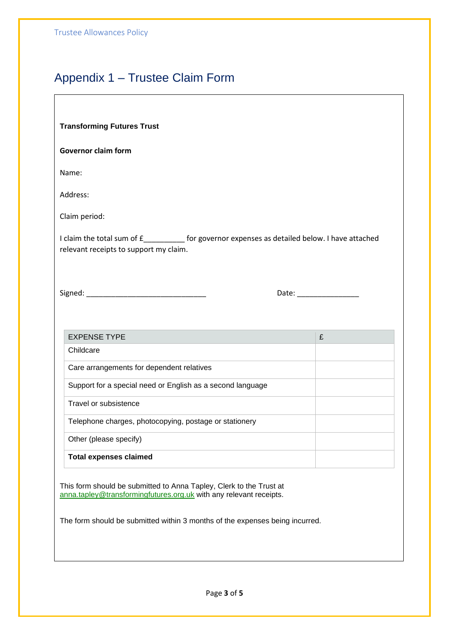#### Appendix 1 – Trustee Claim Form

| <b>Transforming Futures Trust</b> |  |  |
|-----------------------------------|--|--|
|-----------------------------------|--|--|

#### **Governor claim form**

Name:

Address:

Claim period:

I claim the total sum of £\_\_\_\_\_\_\_\_\_\_ for governor expenses as detailed below. I have attached relevant receipts to support my claim.

| Signed: |  |
|---------|--|
|         |  |

Date:  $\Box$ 

| <b>EXPENSE TYPE</b>                                        | £ |  |
|------------------------------------------------------------|---|--|
| Childcare                                                  |   |  |
| Care arrangements for dependent relatives                  |   |  |
| Support for a special need or English as a second language |   |  |
| Travel or subsistence                                      |   |  |
| Telephone charges, photocopying, postage or stationery     |   |  |
| Other (please specify)                                     |   |  |
| <b>Total expenses claimed</b>                              |   |  |

This form should be submitted to Anna Tapley, Clerk to the Trust at [anna.tapley@transformingfutures.org.uk](mailto:anna.tapley@transformingfutures.org.uk) with any relevant receipts.

The form should be submitted within 3 months of the expenses being incurred.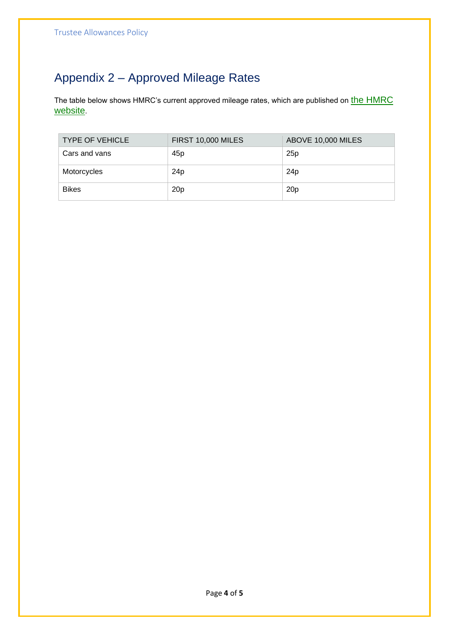### Appendix 2 – Approved Mileage Rates

The table below shows HMRC's current approved mileage rates, which are published on the HMRC [website](https://www.gov.uk/expenses-and-benefits-business-travel-mileage/rules-for-tax).

| <b>TYPE OF VEHICLE</b> | <b>FIRST 10,000 MILES</b> | ABOVE 10,000 MILES |
|------------------------|---------------------------|--------------------|
| Cars and vans          | 45 <sub>p</sub>           | 25p                |
| Motorcycles            | 24p                       | 24 <sub>p</sub>    |
| <b>Bikes</b>           | 20 <sub>p</sub>           | 20 <sub>p</sub>    |